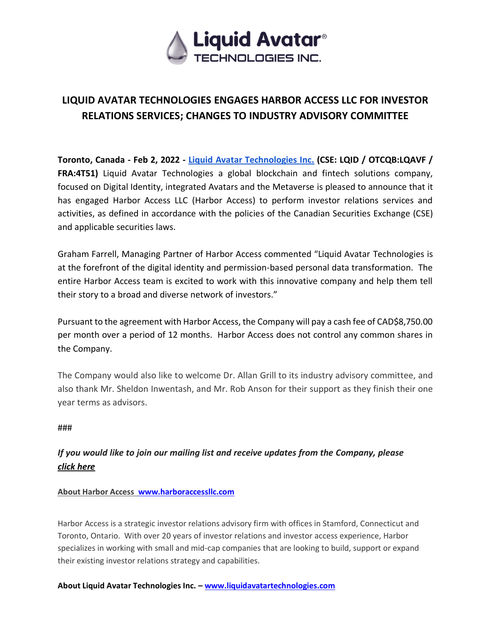

## **LIQUID AVATAR TECHNOLOGIES ENGAGES HARBOR ACCESS LLC FOR INVESTOR RELATIONS SERVICES; CHANGES TO INDUSTRY ADVISORY COMMITTEE**

**Toronto, Canada - Feb 2, 2022 [-](http://www.liquidavatartechnologies.com/) [Liquid Avatar Technologies Inc.](http://www.liquidavatartechnologies.com/) (CSE: LQID / OTCQB:LQAVF / FRA:4T51)** Liquid Avatar Technologies a global blockchain and fintech solutions company, focused on Digital Identity, integrated Avatars and the Metaverse is pleased to announce that it has engaged Harbor Access LLC (Harbor Access) to perform investor relations services and activities, as defined in accordance with the policies of the Canadian Securities Exchange (CSE) and applicable securities laws.

Graham Farrell, Managing Partner of Harbor Access commented "Liquid Avatar Technologies is at the forefront of the digital identity and permission-based personal data transformation. The entire Harbor Access team is excited to work with this innovative company and help them tell their story to a broad and diverse network of investors."

Pursuant to the agreement with Harbor Access, the Company will pay a cash fee of CAD\$8,750.00 per month over a period of 12 months. Harbor Access does not control any common shares in the Company.

The Company would also like to welcome Dr. Allan Grill to its industry advisory committee, and also thank Mr. Sheldon Inwentash, and Mr. Rob Anson for their support as they finish their one year terms as advisors.

###

## *If you would like to join our mailing list and receive updates from the Company, pleas[e](https://hello.liquidavatar.com/liquid-avatar-updates) [click here](https://hello.liquidavatar.com/liquid-avatar-updates)*

## **About Harbor Access [www.harboraccessllc.com](http://www.harboraccessllc.com/)**

Harbor Access is a strategic investor relations advisory firm with offices in Stamford, Connecticut and Toronto, Ontario. With over 20 years of investor relations and investor access experience, Harbor specializes in working with small and mid-cap companies that are looking to build, support or expand their existing investor relations strategy and capabilities.

**About Liquid Avatar Technologies Inc. – [www.liquidavatartechnologies.com](http://www.liquidavatartechnologies.com/)**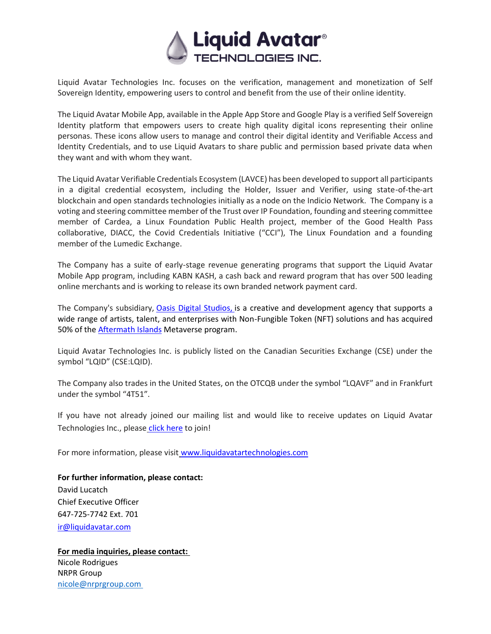

Liquid Avatar Technologies Inc. focuses on the verification, management and monetization of Self Sovereign Identity, empowering users to control and benefit from the use of their online identity.

The Liquid Avatar Mobile App, available in the Apple App Store and Google Play is a verified Self Sovereign Identity platform that empowers users to create high quality digital icons representing their online personas. These icons allow users to manage and control their digital identity and Verifiable Access and Identity Credentials, and to use Liquid Avatars to share public and permission based private data when they want and with whom they want.

The Liquid Avatar Verifiable Credentials Ecosystem (LAVCE) has been developed to support all participants in a digital credential ecosystem, including the Holder, Issuer and Verifier, using state-of-the-art blockchain and open standards technologies initially as a node on the Indicio Network. The Company is a voting and steering committee member of the Trust over IP Foundation, founding and steering committee member of Cardea, a Linux Foundation Public Health project, member of the Good Health Pass collaborative, DIACC, the Covid Credentials Initiative ("CCI"), The Linux Foundation and a founding member of the Lumedic Exchange.

The Company has a suite of early-stage revenue generating programs that support the Liquid Avatar Mobile App program, including KABN KASH, a cash back and reward program that has over 500 leading online merchants and is working to release its own branded network payment card.

The Company's subsidiary, [Oasis Digital Studios,](https://oasisdigitalstudios.com/) is a creative and development agency that supports a wide range of artists, talent, and enterprises with Non-Fungible Token (NFT) solutions and has acquired 50% of th[e Aftermath Islands](https://aftermathislands.com/) Metaverse program.

Liquid Avatar Technologies Inc. is publicly listed on the Canadian Securities Exchange (CSE) under the symbol "LQID" (CSE:LQID).

The Company also trades in the United States, on the OTCQB under the symbol "LQAVF" and in Frankfurt under the symbol "4T51".

If you have not already joined our mailing list and would like to receive updates on Liquid Avatar Technologies Inc., please [click here](https://hello.liquidavatar.com/liquid-avatar-updates) to join!

For more information, please visit [www.liquidavatartechnologies.com](http://www.liquidavatartechnologies.com/)

**For further information, please contact:** David Lucatch Chief Executive Officer 647-725-7742 Ext. 701 [ir@liquidavatar.com](mailto:ir@liquidavatar.com)

**For media inquiries, please contact:** Nicole Rodrigues NRPR Group [nicole@nrprgroup.com](mailto:nicole@nrprgroup.com)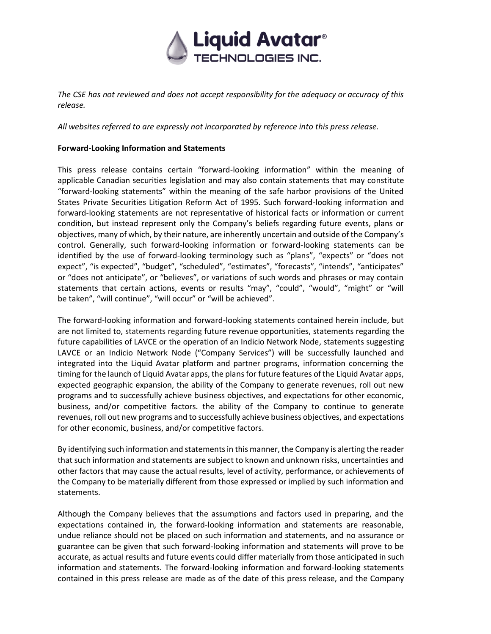

*The CSE has not reviewed and does not accept responsibility for the adequacy or accuracy of this release.*

*All websites referred to are expressly not incorporated by reference into this press release.*

## **Forward-Looking Information and Statements**

This press release contains certain "forward-looking information" within the meaning of applicable Canadian securities legislation and may also contain statements that may constitute "forward-looking statements" within the meaning of the safe harbor provisions of the United States Private Securities Litigation Reform Act of 1995. Such forward-looking information and forward-looking statements are not representative of historical facts or information or current condition, but instead represent only the Company's beliefs regarding future events, plans or objectives, many of which, by their nature, are inherently uncertain and outside of the Company's control. Generally, such forward-looking information or forward-looking statements can be identified by the use of forward-looking terminology such as "plans", "expects" or "does not expect", "is expected", "budget", "scheduled", "estimates", "forecasts", "intends", "anticipates" or "does not anticipate", or "believes", or variations of such words and phrases or may contain statements that certain actions, events or results "may", "could", "would", "might" or "will be taken", "will continue", "will occur" or "will be achieved".

The forward-looking information and forward-looking statements contained herein include, but are not limited to, statements regarding future revenue opportunities, statements regarding the future capabilities of LAVCE or the operation of an Indicio Network Node, statements suggesting LAVCE or an Indicio Network Node ("Company Services") will be successfully launched and integrated into the Liquid Avatar platform and partner programs, information concerning the timing for the launch of Liquid Avatar apps, the plans for future features of the Liquid Avatar apps, expected geographic expansion, the ability of the Company to generate revenues, roll out new programs and to successfully achieve business objectives, and expectations for other economic, business, and/or competitive factors. the ability of the Company to continue to generate revenues, roll out new programs and to successfully achieve business objectives, and expectations for other economic, business, and/or competitive factors.

By identifying such information and statements in this manner, the Company is alerting the reader that such information and statements are subject to known and unknown risks, uncertainties and other factors that may cause the actual results, level of activity, performance, or achievements of the Company to be materially different from those expressed or implied by such information and statements.

Although the Company believes that the assumptions and factors used in preparing, and the expectations contained in, the forward-looking information and statements are reasonable, undue reliance should not be placed on such information and statements, and no assurance or guarantee can be given that such forward-looking information and statements will prove to be accurate, as actual results and future events could differ materially from those anticipated in such information and statements. The forward-looking information and forward-looking statements contained in this press release are made as of the date of this press release, and the Company